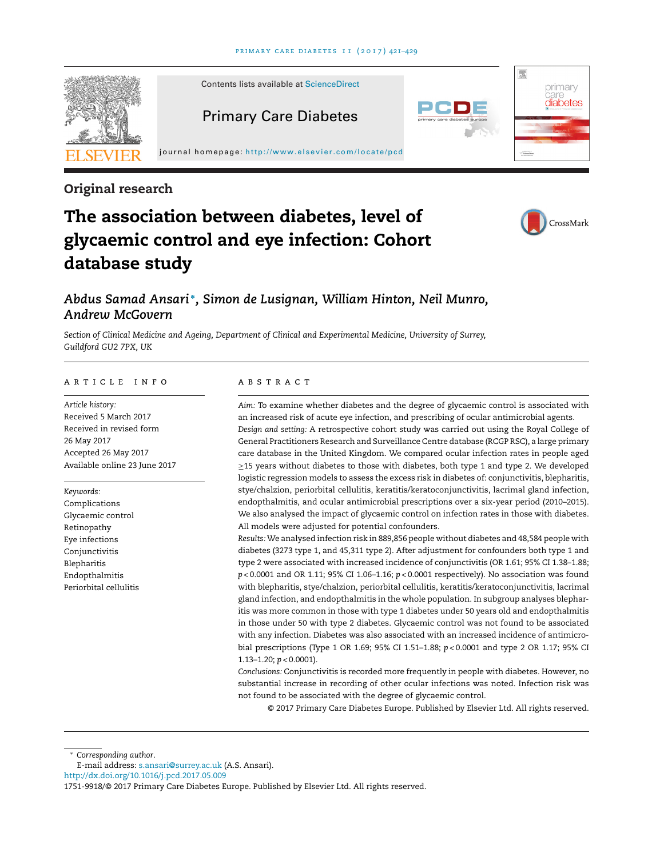

**Original research**

# **The association between diabetes, level of glycaemic control and eye infection: Cohort database study**



# *Abdus Samad Ansari* **<sup>∗</sup>***, Simon de Lusignan, William Hinton, Neil Munro, Andrew McGovern*

*Section of Clinical Medicine and Ageing, Department of Clinical and Experimental Medicine, University of Surrey, Guildford GU2 7PX, UK*

#### a r t i c l e i n f o

*Article history:* Received 5 March 2017 Received in revised form 26 May 2017 Accepted 26 May 2017 Available online 23 June 2017

*Keywords:*

Complications Glycaemic control Retinopathy Eye infections Conjunctivitis Blepharitis Endopthalmitis Periorbital cellulitis

#### a b s t r a c t

*Aim:* To examine whether diabetes and the degree of glycaemic control is associated with an increased risk of acute eye infection, and prescribing of ocular antimicrobial agents. *Design and setting:* A retrospective cohort study was carried out using the Royal College of General Practitioners Research and Surveillance Centre database (RCGP RSC), a large primary care database in the United Kingdom. We compared ocular infection rates in people aged ≥15 years without diabetes to those with diabetes, both type 1 and type 2. We developed logistic regression models to assess the excess risk in diabetes of: conjunctivitis, blepharitis, stye/chalzion, periorbital cellulitis, keratitis/keratoconjunctivitis, lacrimal gland infection, endopthalmitis, and ocular antimicrobial prescriptions over a six-year period (2010–2015). We also analysed the impact of glycaemic control on infection rates in those with diabetes. All models were adjusted for potential confounders.

*Results:* We analysed infection risk in 889,856 people without diabetes and 48,584 people with diabetes (3273 type 1, and 45,311 type 2). After adjustment for confounders both type 1 and type 2 were associated with increased incidence of conjunctivitis (OR 1.61; 95% CI 1.38–1.88; *p* < 0.0001 and OR 1.11; 95% CI 1.06–1.16; *p* < 0.0001 respectively). No association was found with blepharitis, stye/chalzion, periorbital cellulitis, keratitis/keratoconjunctivitis, lacrimal gland infection, and endopthalmitis in the whole population. In subgroup analyses blepharitis was more common in those with type 1 diabetes under 50 years old and endopthalmitis in those under 50 with type 2 diabetes. Glycaemic control was not found to be associated with any infection. Diabetes was also associated with an increased incidence of antimicrobial prescriptions (Type 1 OR 1.69; 95% CI 1.51–1.88; *p* < 0.0001 and type 2 OR 1.17; 95% CI 1.13–1.20; *p* < 0.0001).

*Conclusions:* Conjunctivitis is recorded more frequently in people with diabetes. However, no substantial increase in recording of other ocular infections was noted. Infection risk was not found to be associated with the degree of glycaemic control.

© 2017 Primary Care Diabetes Europe. Published by Elsevier Ltd. All rights reserved.

∗ *Corresponding author*.

E-mail address: [s.ansari@surrey.ac.uk](mailto:s.ansari@surrey.ac.uk) (A.S. Ansari).

[http://dx.doi.org/10.1016/j.pcd.2017.05.009](dx.doi.org/10.1016/j.pcd.2017.05.009)

<sup>1751-9918/©</sup> 2017 Primary Care Diabetes Europe. Published by Elsevier Ltd. All rights reserved.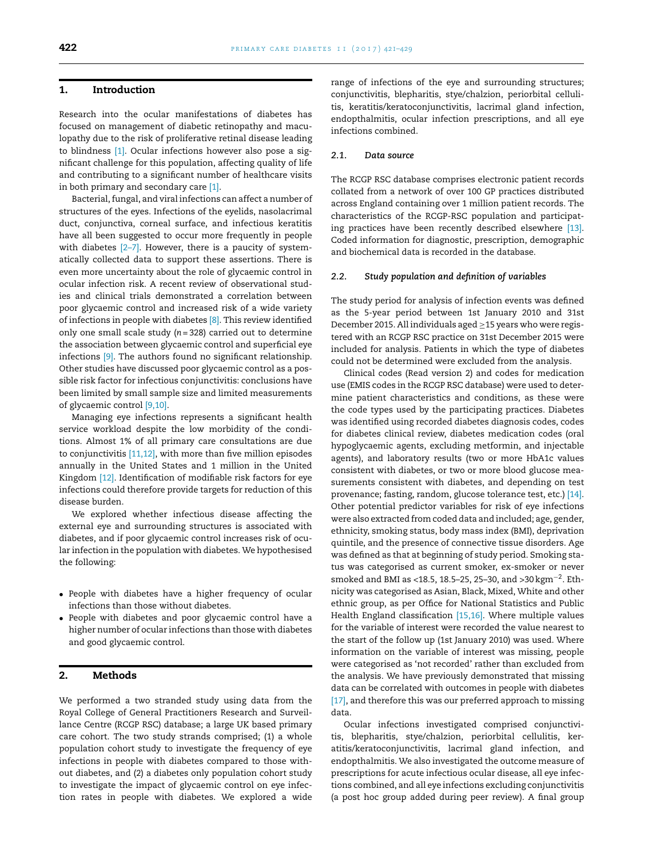#### **1. Introduction**

Research into the ocular manifestations of diabetes has focused on management of diabetic retinopathy and maculopathy due to the risk of proliferative retinal disease leading to blindness [\[1\].](#page-7-0) Ocular infections however also pose a significant challenge for this population, affecting quality of life and contributing to a significant number of healthcare visits in both primary and secondary care [\[1\].](#page-7-0)

Bacterial, fungal, and viral infections can affect a number of structures of the eyes. Infections of the eyelids, nasolacrimal duct, conjunctiva, corneal surface, and infectious keratitis have all been suggested to occur more frequently in people with diabetes  $[2-7]$ . However, there is a paucity of systematically collected data to support these assertions. There is even more uncertainty about the role of glycaemic control in ocular infection risk. A recent review of observational studies and clinical trials demonstrated a correlation between poor glycaemic control and increased risk of a wide variety of infections in people with diabetes [\[8\].](#page-7-0) This review identified only one small scale study (*n* = 328) carried out to determine the association between glycaemic control and superficial eye infections [\[9\].](#page-7-0) The authors found no significant relationship. Other studies have discussed poor glycaemic control as a possible risk factor for infectious conjunctivitis: conclusions have been limited by small sample size and limited measurements of glycaemic control [\[9,10\].](#page-7-0)

Managing eye infections represents a significant health service workload despite the low morbidity of the conditions. Almost 1% of all primary care consultations are due to conjunctivitis [\[11,12\],](#page-7-0) with more than five million episodes annually in the United States and 1 million in the United Kingdom [\[12\].](#page-7-0) Identification of modifiable risk factors for eye infections could therefore provide targets for reduction of this disease burden.

We explored whether infectious disease affecting the external eye and surrounding structures is associated with diabetes, and if poor glycaemic control increases risk of ocular infection in the population with diabetes. We hypothesised the following:

- People with diabetes have a higher frequency of ocular infections than those without diabetes.
- People with diabetes and poor glycaemic control have a higher number of ocular infections than those with diabetes and good glycaemic control.

# **2. Methods**

We performed a two stranded study using data from the Royal College of General Practitioners Research and Surveillance Centre (RCGP RSC) database; a large UK based primary care cohort. The two study strands comprised; (1) a whole population cohort study to investigate the frequency of eye infections in people with diabetes compared to those without diabetes, and (2) a diabetes only population cohort study to investigate the impact of glycaemic control on eye infection rates in people with diabetes. We explored a wide

range of infections of the eye and surrounding structures; conjunctivitis, blepharitis, stye/chalzion, periorbital cellulitis, keratitis/keratoconjunctivitis, lacrimal gland infection, endopthalmitis, ocular infection prescriptions, and all eye infections combined.

#### *2.1. Data source*

The RCGP RSC database comprises electronic patient records collated from a network of over 100 GP practices distributed across England containing over 1 million patient records. The characteristics of the RCGP-RSC population and participating practices have been recently described elsewhere [\[13\].](#page-7-0) Coded information for diagnostic, prescription, demographic and biochemical data is recorded in the database.

#### *2.2. Study population and definition of variables*

The study period for analysis of infection events was defined as the 5-year period between 1st January 2010 and 31st December 2015. All individuals aged ≥15 years who were registered with an RCGP RSC practice on 31st December 2015 were included for analysis. Patients in which the type of diabetes could not be determined were excluded from the analysis.

Clinical codes (Read version 2) and codes for medication use (EMIS codes in the RCGP RSC database) were used to determine patient characteristics and conditions, as these were the code types used by the participating practices. Diabetes was identified using recorded diabetes diagnosis codes, codes for diabetes clinical review, diabetes medication codes (oral hypoglycaemic agents, excluding metformin, and injectable agents), and laboratory results (two or more HbA1c values consistent with diabetes, or two or more blood glucose measurements consistent with diabetes, and depending on test provenance; fasting, random, glucose tolerance test, etc.) [\[14\].](#page-7-0) Other potential predictor variables for risk of eye infections were also extracted from coded data and included; age, gender, ethnicity, smoking status, body mass index (BMI), deprivation quintile, and the presence of connective tissue disorders. Age was defined as that at beginning of study period. Smoking status was categorised as current smoker, ex-smoker or never smoked and BMI as <18.5, 18.5–25, 25–30, and >30 kgm−2. Ethnicity was categorised as Asian, Black, Mixed, White and other ethnic group, as per Office for National Statistics and Public Health England classification [\[15,16\].](#page-7-0) Where multiple values for the variable of interest were recorded the value nearest to the start of the follow up (1st January 2010) was used. Where information on the variable of interest was missing, people were categorised as 'not recorded' rather than excluded from the analysis. We have previously demonstrated that missing data can be correlated with outcomes in people with diabetes [\[17\],](#page-7-0) and therefore this was our preferred approach to missing data.

Ocular infections investigated comprised conjunctivitis, blepharitis, stye/chalzion, periorbital cellulitis, keratitis/keratoconjunctivitis, lacrimal gland infection, and endopthalmitis. We also investigated the outcome measure of prescriptions for acute infectious ocular disease, all eye infections combined, and all eye infections excluding conjunctivitis (a post hoc group added during peer review). A final group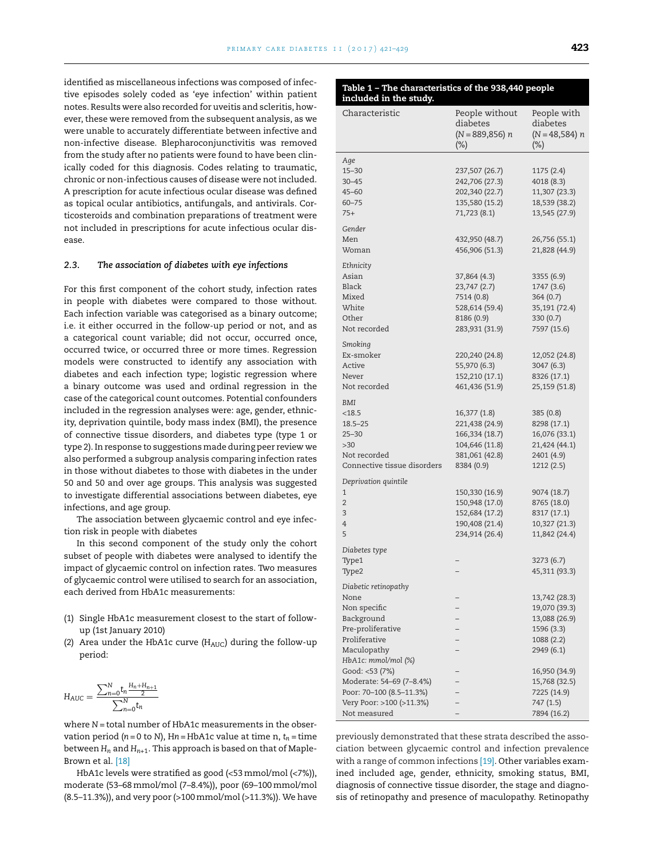<span id="page-2-0"></span>identified as miscellaneous infections was composed of infective episodes solely coded as 'eye infection' within patient notes. Results were also recorded for uveitis and scleritis, however, these were removed from the subsequent analysis, as we were unable to accurately differentiate between infective and non-infective disease. Blepharoconjunctivitis was removed from the study after no patients were found to have been clinically coded for this diagnosis. Codes relating to traumatic, chronic or non-infectious causes of disease were not included. A prescription for acute infectious ocular disease was defined as topical ocular antibiotics, antifungals, and antivirals. Corticosteroids and combination preparations of treatment were not included in prescriptions for acute infectious ocular disease.

### *2.3. The association of diabetes with eye infections*

For this first component of the cohort study, infection rates in people with diabetes were compared to those without. Each infection variable was categorised as a binary outcome; i.e. it either occurred in the follow-up period or not, and as a categorical count variable; did not occur, occurred once, occurred twice, or occurred three or more times. Regression models were constructed to identify any association with diabetes and each infection type; logistic regression where a binary outcome was used and ordinal regression in the case of the categorical count outcomes. Potential confounders included in the regression analyses were: age, gender, ethnicity, deprivation quintile, body mass index (BMI), the presence of connective tissue disorders, and diabetes type (type 1 or type 2). In response to suggestions made during peer review we also performed a subgroup analysis comparing infection rates in those without diabetes to those with diabetes in the under 50 and 50 and over age groups. This analysis was suggested to investigate differential associations between diabetes, eye infections, and age group.

The association between glycaemic control and eye infection risk in people with diabetes

In this second component of the study only the cohort subset of people with diabetes were analysed to identify the impact of glycaemic control on infection rates. Two measures of glycaemic control were utilised to search for an association, each derived from HbA1c measurements:

- (1) Single HbA1c measurement closest to the start of followup (1st January 2010)
- (2) Area under the HbA1c curve  $(H_{AUC})$  during the follow-up period:

$$
H_{AUC} = \frac{\sum_{n=0}^{N} t_n \frac{H_n + H_{n+1}}{2}}{\sum_{n=0}^{N} t_n}
$$

where *N* = total number of HbA1c measurements in the observation period  $(n = 0 \text{ to } N)$ ,  $Hn = HbA1c$  value at time n,  $t_n =$ time between *Hn* and *Hn*+1. This approach is based on that of Maple-Brown et al. [\[18\]](#page-8-0)

HbA1c levels were stratified as good (<53mmol/mol (<7%)), moderate (53–68mmol/mol (7–8.4%)), poor (69–100mmol/mol (8.5–11.3%)), and very poor (>100mmol/mol (>11.3%)). We have

#### **Table 1 – The characteristics of the 938,440 people included in the study.**

| included in the study.<br>Characteristic                                                                                               | People without<br>diabetes<br>$(N = 889, 856) n$<br>$(\%)$                                         | People with<br>diabetes<br>$(N = 48, 584) n$<br>$(\%)$                                    |
|----------------------------------------------------------------------------------------------------------------------------------------|----------------------------------------------------------------------------------------------------|-------------------------------------------------------------------------------------------|
| Age<br>$15 - 30$<br>$30 - 45$<br>$45 - 60$<br>$60 - 75$<br>$75+$                                                                       | 237,507 (26.7)<br>242,706 (27.3)<br>202,340 (22.7)<br>135,580 (15.2)<br>71,723 (8.1)               | 1175 (2.4)<br>4018 (8.3)<br>11,307 (23.3)<br>18,539 (38.2)<br>13,545 (27.9)               |
| Gender<br>Men<br>Woman                                                                                                                 | 432,950 (48.7)<br>456,906 (51.3)                                                                   | 26,756 (55.1)<br>21,828 (44.9)                                                            |
| Ethnicity<br>Asian<br><b>Black</b><br>Mixed<br>White<br>Other<br>Not recorded                                                          | 37,864 (4.3)<br>23,747(2.7)<br>7514 (0.8)<br>528,614 (59.4)<br>8186 (0.9)<br>283,931 (31.9)        | 3355 (6.9)<br>1747 (3.6)<br>364(0.7)<br>35,191 (72.4)<br>330 (0.7)<br>7597 (15.6)         |
| Smoking<br>Ex-smoker<br>Active<br>Never<br>Not recorded                                                                                | 220,240 (24.8)<br>55,970 (6.3)<br>152,210 (17.1)<br>461,436 (51.9)                                 | 12,052 (24.8)<br>3047 (6.3)<br>8326 (17.1)<br>25,159 (51.8)                               |
| BMI<br>< 18.5<br>$18.5 - 25$<br>$25 - 30$<br>$>30$<br>Not recorded<br>Connective tissue disorders                                      | 16,377 (1.8)<br>221,438 (24.9)<br>166,334 (18.7)<br>104,646 (11.8)<br>381,061 (42.8)<br>8384 (0.9) | 385 (0.8)<br>8298 (17.1)<br>16,076 (33.1)<br>21,424 (44.1)<br>2401 (4.9)<br>1212 (2.5)    |
| Deprivation quintile<br>$\mathbf{1}$<br>$\overline{2}$<br>3<br>4<br>5                                                                  | 150,330 (16.9)<br>150,948 (17.0)<br>152,684 (17.2)<br>190,408 (21.4)<br>234,914 (26.4)             | 9074 (18.7)<br>8765 (18.0)<br>8317 (17.1)<br>10,327 (21.3)<br>11,842 (24.4)               |
| Diabetes type<br>Type1<br>Type2                                                                                                        |                                                                                                    | 3273 (6.7)<br>45,311 (93.3)                                                               |
| Diabetic retinopathy<br>None<br>Non specific<br>Background<br>Pre-proliferative<br>Proliferative<br>Maculopathy<br>HbA1c: mmol/mol (%) |                                                                                                    | 13,742 (28.3)<br>19,070 (39.3)<br>13,088 (26.9)<br>1596 (3.3)<br>1088 (2.2)<br>2949 (6.1) |
| Good: <53 (7%)<br>Moderate: 54-69 (7-8.4%)<br>Poor: 70-100 (8.5-11.3%)<br>Very Poor: >100 (>11.3%)<br>Not measured                     |                                                                                                    | 16,950 (34.9)<br>15,768 (32.5)<br>7225 (14.9)<br>747 (1.5)<br>7894 (16.2)                 |

previously demonstrated that these strata described the association between glycaemic control and infection prevalence with a range of common infections [\[19\].](#page-8-0) Other variables examined included age, gender, ethnicity, smoking status, BMI, diagnosis of connective tissue disorder, the stage and diagnosis of retinopathy and presence of maculopathy. Retinopathy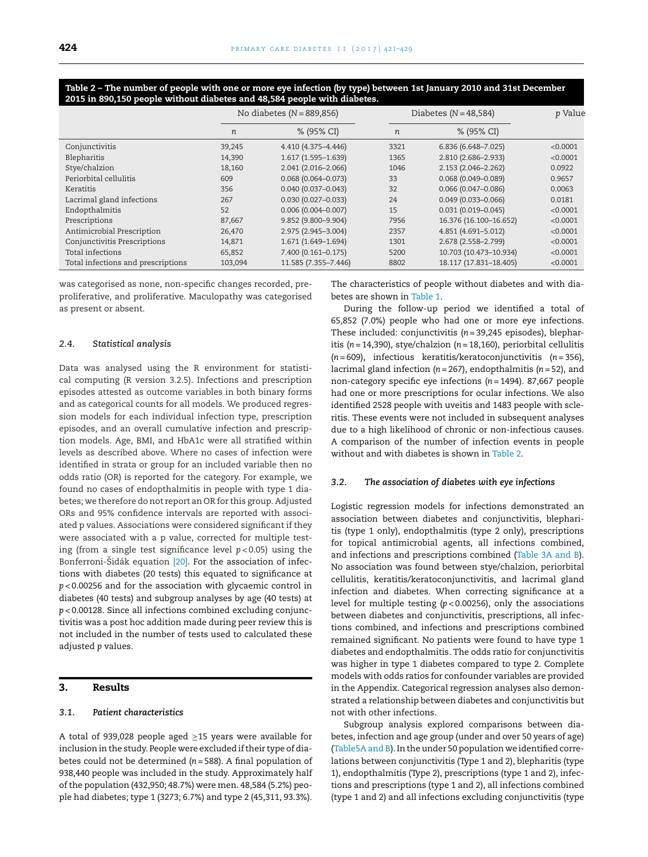| 2015 In 890,150 people without diabetes and 48,584 people with diabetes. |        |                              |      |                           |          |
|--------------------------------------------------------------------------|--------|------------------------------|------|---------------------------|----------|
|                                                                          |        | No diabetes $(N = 889, 856)$ |      | Diabetes ( $N = 48,584$ ) | p Value  |
|                                                                          | n      | $% (95\% CI)$                | n    | % (95% CI)                |          |
| Conjunctivitis                                                           | 39,245 | 4.410 (4.375-4.446)          | 3321 | 6.836 (6.648-7.025)       | < 0.0001 |
| Blepharitis                                                              | 14,390 | 1.617 (1.595-1.639)          | 1365 | 2.810 (2.686-2.933)       | < 0.0001 |
| Stye/chalzion                                                            | 18.160 | 2.041 (2.016-2.066)          | 1046 | 2.153 (2.046-2.262)       | 0.0922   |
| Periorbital cellulitis                                                   | 609    | $0.068(0.064 - 0.073)$       | 33   | $0.068(0.049 - 0.089)$    | 0.9657   |
| Keratitis                                                                | 356    | $0.040(0.037 - 0.043)$       | 32   | $0.066(0.047 - 0.086)$    | 0.0063   |
| Lacrimal gland infections                                                | 267    | $0.030(0.027 - 0.033)$       | 24   | $0.049(0.033 - 0.066)$    | 0.0181   |
| Endopthalmitis                                                           | 52     | $0.006(0.004 - 0.007)$       | 15   | $0.031(0.019 - 0.045)$    | < 0.0001 |
| Prescriptions                                                            | 87,667 | 9.852 (9.800-9.904)          | 7956 | 16.376 (16.100-16.652)    | < 0.0001 |
| Antimicrobial Prescription                                               | 26,470 | 2.975 (2.945-3.004)          | 2357 | 4.851 (4.691-5.012)       | < 0.0001 |

Conjunctivitis Prescriptions 14,871 1.671 (1.649–1.694) 1301 2.678 (2.558–2.799) <0.0001 Total infections 65,852 7.400 (0.161–0.175) 5200 10.703 (10.473–10.934) <0.0001 Total infections and prescriptions 103,094 11.585 (7.355–7.446) 8802 18.117 (17.831–18.405) <0.0001

Table 2 - The number of people with one or more eye infection (by type) between 1st January 2010 and 31st December **2015 in 890,150 people without diabetes and 48,584 people with diabetes.**

was categorised as none, non-specific changes recorded, preproliferative, and proliferative. Maculopathy was categorised as present or absent.

#### *2.4. Statistical analysis*

Data was analysed using the R environment for statistical computing (R version 3.2.5). Infections and prescription episodes attested as outcome variables in both binary forms and as categorical counts for all models. We produced regression models for each individual infection type, prescription episodes, and an overall cumulative infection and prescription models. Age, BMI, and HbA1c were all stratified within levels as described above. Where no cases of infection were identified in strata or group for an included variable then no odds ratio (OR) is reported for the category. For example, we found no cases of endopthalmitis in people with type 1 diabetes; we therefore do not report an OR for this group. Adjusted ORs and 95% confidence intervals are reported with associated p values. Associations were considered significant if they were associated with a p value, corrected for multiple testing (from a single test significance level *p* < 0.05) using the Bonferroni-Šidák equation  $[20]$ . For the association of infections with diabetes (20 tests) this equated to significance at *p* < 0.00256 and for the association with glycaemic control in diabetes (40 tests) and subgroup analyses by age (40 tests) at *p* < 0.00128. Since all infections combined excluding conjunctivitis was a post hoc addition made during peer review this is not included in the number of tests used to calculated these adjusted *p* values.

# **3. Results**

#### *3.1. Patient characteristics*

A total of 939,028 people aged ≥15 years were available for inclusion in the study. People were excluded if their type of diabetes could not be determined (*n* = 588). A final population of 938,440 people was included in the study. Approximately half of the population (432,950; 48.7%) were men. 48,584 (5.2%) people had diabetes; type 1 (3273; 6.7%) and type 2 (45,311, 93.3%).

The characteristics of people without diabetes and with diabetes are shown in [Table](#page-2-0) 1.

During the follow-up period we identified a total of 65,852 (7.0%) people who had one or more eye infections. These included: conjunctivitis (*n* = 39,245 episodes), blepharitis (*n* = 14,390), stye/chalzion (*n* = 18,160), periorbital cellulitis (*n* = 609), infectious keratitis/keratoconjunctivitis (*n* = 356), lacrimal gland infection (*n* = 267), endopthalmitis (*n* = 52), and non-category specific eye infections (*n* = 1494). 87,667 people had one or more prescriptions for ocular infections. We also identified 2528 people with uveitis and 1483 people with scleritis. These events were not included in subsequent analyses due to a high likelihood of chronic or non-infectious causes. A comparison of the number of infection events in people without and with diabetes is shown in Table 2.

#### *3.2. The association of diabetes with eye infections*

Logistic regression models for infections demonstrated an association between diabetes and conjunctivitis, blepharitis (type 1 only), endopthalmitis (type 2 only), prescriptions for topical antimicrobial agents, all infections combined, and infections and prescriptions combined ([Table](#page-4-0) 3A and B). No association was found between stye/chalzion, periorbital cellulitis, keratitis/keratoconjunctivitis, and lacrimal gland infection and diabetes. When correcting significance at a level for multiple testing (*p* < 0.00256), only the associations between diabetes and conjunctivitis, prescriptions, all infections combined, and infections and prescriptions combined remained significant. No patients were found to have type 1 diabetes and endopthalmitis. The odds ratio for conjunctivitis was higher in type 1 diabetes compared to type 2. Complete models with odds ratios for confounder variables are provided in the Appendix. Categorical regression analyses also demonstrated a relationship between diabetes and conjunctivitis but not with other infections.

Subgroup analysis explored comparisons between diabetes, infection and age group (under and over 50 years of age) ([Table5A](#page-6-0) and B). In the under 50 population we identified correlations between conjunctivitis (Type 1 and 2), blepharitis (type 1), endopthalmitis (Type 2), prescriptions (type 1 and 2), infections and prescriptions (type 1 and 2), all infections combined (type 1 and 2) and all infections excluding conjunctivitis (type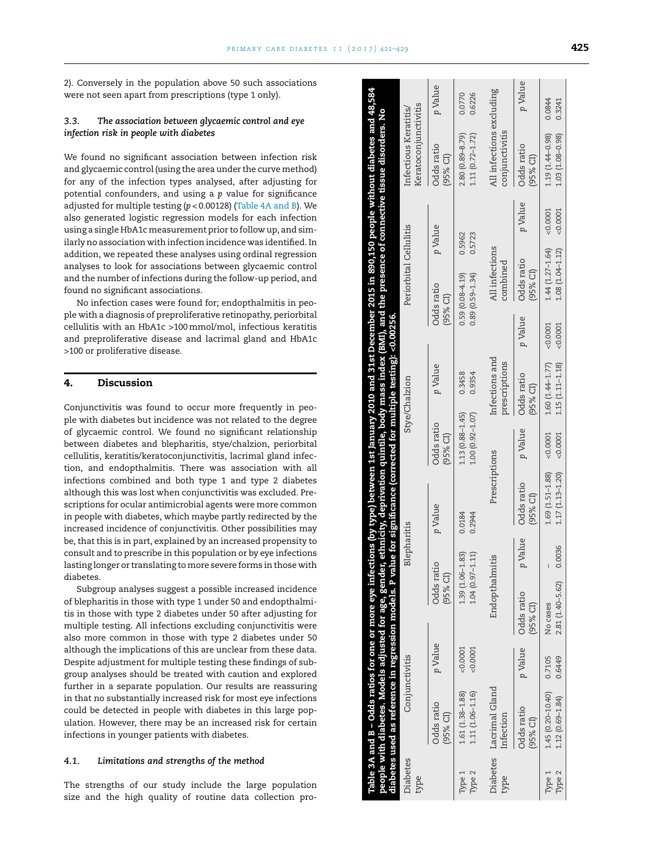<span id="page-4-0"></span>2). Conversely in the population above 50 such associations were not seen apart from prescriptions (type 1 only).

# *3.3. The association between glycaemic control and eye infection risk in people with diabetes*

We found no significant association between infection risk and glycaemic control (using the area under the curve method) for any of the infection types analysed, after adjusting for potential confounders, and using a *p* value for significance adjusted for multiple testing (*p* < 0.00128) [\(Table](#page-5-0) 4A and B). We also generated logistic regression models for each infection using a single HbA1c measurement prior to follow up, and similarly no association with infection incidence was identified. In addition, we repeated these analyses using ordinal regression analyses to look for associations between glycaemic control and the number of infections during the follow-up period, and found no significant associations.

No infection cases were found for; endopthalmitis in people with a diagnosis of preproliferative retinopathy, periorbital cellulitis with an HbA1c >100mmol/mol, infectious keratitis and preproliferative disease and lacrimal gland and HbA1c >100 or proliferative disease.

# **4. Discussion**

Conjunctivitis was found to occur more frequently in people with diabetes but incidence was not related to the degree of glycaemic control. We found no significant relationship between diabetes and blepharitis, stye/chalzion, periorbital cellulitis, keratitis/keratoconjunctivitis, lacrimal gland infection, and endopthalmitis. There was association with all infections combined and both type 1 and type 2 diabetes although this was lost when conjunctivitis was excluded. Prescriptions for ocular antimicrobial agents were more common in people with diabetes, which maybe partly redirected by the increased incidence of conjunctivitis. Other possibilities may be, that this is in part, explained by an increased propensity to consult and to prescribe in this population or by eye infections lasting longer or translating to more severe forms in those with diabetes.

Subgroup analyses suggest a possible increased incidence of blepharitis in those with type 1 under 50 and endopthalmitis in those with type 2 diabetes under 50 after adjusting for multiple testing. All infections excluding conjunctivitis were also more common in those with type 2 diabetes under 50 although the implications of this are unclear from these data. Despite adjustment for multiple testing these findings of subgroup analyses should be treated with caution and explored further in a separate population. Our results are reassuring in that no substantially increased risk for most eye infections could be detected in people with diabetes in this large population. However, there may be an increased risk for certain infections in younger patients with diabetes.

#### *4.1. Limitations and strengths of the method*

The strengths of our study include the large population size and the high quality of routine data collection pro-

|                  | people with diabetes. Models adjusted for age, gender, ethnicity, deprivation quintile, body mass index (BMI), and the presence of connective tissue disorders. No<br>diabetes used as reference in regression models. P value for significance (corrected for multiple testing): <0.00256.<br>Table 3A and B – Odds ratios for one or more eye infection |                  |                                            |             | ons (by type) between 1st January 2010 and 31st December 2015 in 890,150 people without diabetes and 48,584 |                                            |                                            |                      |                                            |                      |                                               |                  |
|------------------|-----------------------------------------------------------------------------------------------------------------------------------------------------------------------------------------------------------------------------------------------------------------------------------------------------------------------------------------------------------|------------------|--------------------------------------------|-------------|-------------------------------------------------------------------------------------------------------------|--------------------------------------------|--------------------------------------------|----------------------|--------------------------------------------|----------------------|-----------------------------------------------|------------------|
| Diabetes<br>type | Conjunctivitis                                                                                                                                                                                                                                                                                                                                            |                  |                                            | Blepharitis |                                                                                                             |                                            | Stve/Chalzion                              |                      | Periorbital Cellulitis                     |                      | Keratoconjunctivitis<br>Infectious Keratitis/ |                  |
|                  | Odds ratio<br>(95% CI)                                                                                                                                                                                                                                                                                                                                    | p Value          | Odds ratio<br>(95% CI)                     |             | p Value                                                                                                     | Odds ratio<br>(95% CI)                     | p Value                                    | $(95%$ CI)           | Odds ratio                                 | p Value              | Odds ratio<br>$(95%$ CI)                      | p Value          |
| Type 2<br>Type 1 | 1.11 (1.06-1.16)<br>$1.61(1.38 - 1.88)$                                                                                                                                                                                                                                                                                                                   | 0.0001<br>0.0001 | $1.39(1.06 - 1.83)$<br>$1.04(0.97 - 1.11)$ |             | 0.0184<br>0.2944                                                                                            | $1.13(0.88 - 1.45)$<br>$1.00(0.92 - 1.07)$ | 0.3458<br>0.9354                           |                      | $0.59(0.08 - 4.19)$<br>$0.89(0.59 - 1.34)$ | 0.5962<br>0.5723     | $2.80(0.89 - 8.79)$<br>$1.11(0.72 - 1.72)$    | 0.6226<br>0.0770 |
| type             | Diabetes Lacrimal Gland<br>Infection                                                                                                                                                                                                                                                                                                                      |                  | Endopthalmitis                             |             | Prescriptions                                                                                               |                                            | Infections and<br>prescriptions            |                      | All infections<br>combined                 |                      | All infections excluding<br>conjunctivitis    |                  |
|                  | Odds ratio<br>(95% CI)                                                                                                                                                                                                                                                                                                                                    | p Value          | Odds ratio<br>(95% CI)                     | alue<br>Σđ  | Odds ratio<br>(95% CI)                                                                                      | p Value                                    | Odds ratio<br>(95% CI)                     | p Value              | Odds ratio<br>(95% CI)                     | p Value              | Odds ratio<br>(95% CI)                        | p Value          |
| Type 2<br>Type 1 | 1.45 (0.20-10.40)<br>$1.12(0.69 - 1.84)$                                                                                                                                                                                                                                                                                                                  | 0.6449<br>0.7105 | 2.81 (1.40-5.62)<br>No cases               | 0.0036      | 1.69 (1.51-1.88)<br>$1.17(1.13 - 1.20)$                                                                     | < 0.0001<br>0.0001                         | $1.60(1.44 - 1.77)$<br>$1.15(1.11 - 1.18)$ | < 0.0001<br>< 0.0001 | 1.44 (1.27-1.64)<br>$1.08(1.04 - 1.12)$    | < 0.0001<br>< 0.0001 | $1.19(1.44 - 0.98)$<br>1.03 (1.08-0.98)       | 0.0844<br>0.3241 |
|                  |                                                                                                                                                                                                                                                                                                                                                           |                  |                                            |             |                                                                                                             |                                            |                                            |                      |                                            |                      |                                               |                  |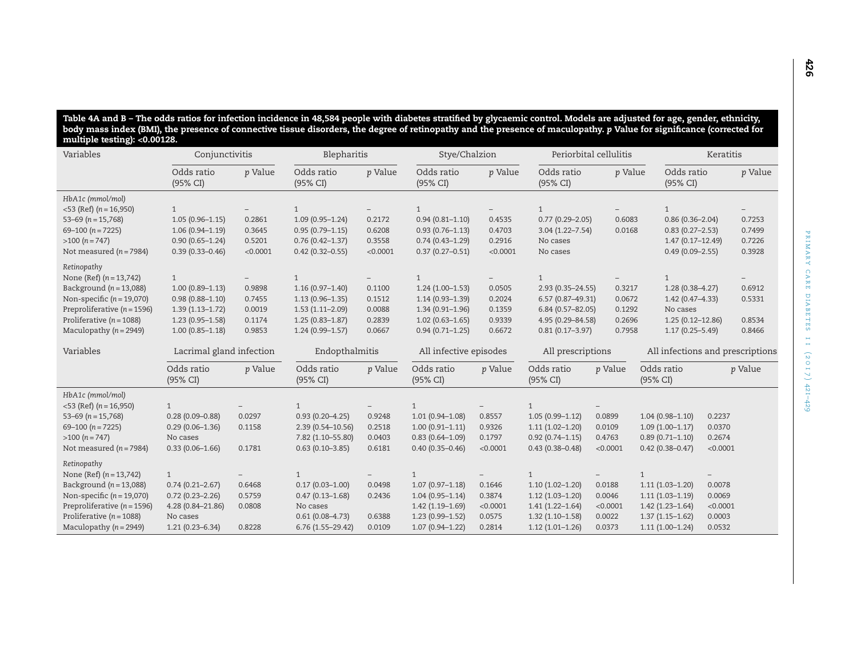<span id="page-5-0"></span>

| Table 4A and B - The odds ratios for infection incidence in 48,584 people with diabetes stratified by glycaemic control. Models are adjusted for age, gender, ethnicity, |  |
|--------------------------------------------------------------------------------------------------------------------------------------------------------------------------|--|
| body mass index (BMI), the presence of connective tissue disorders, the degree of retinopathy and the presence of maculopathy. p Value for significance (corrected for   |  |
| multiple testing): <0.00128.                                                                                                                                             |  |

| Variables                       | Conjunctivitis           |                          | Blepharitis            |                          | Stye/Chalzion          |                          |                        | Periorbital cellulitis   |                                  | Keratitis |                   |
|---------------------------------|--------------------------|--------------------------|------------------------|--------------------------|------------------------|--------------------------|------------------------|--------------------------|----------------------------------|-----------|-------------------|
|                                 | Odds ratio<br>(95% CI)   | p Value                  | Odds ratio<br>(95% CI) | p Value                  | Odds ratio<br>(95% CI) | p Value                  | Odds ratio<br>(95% CI) | p Value                  | Odds ratio<br>(95% CI)           |           | p Value           |
| HbA1c (mmol/mol)                |                          |                          |                        |                          |                        |                          |                        |                          |                                  |           |                   |
| $<$ 53 (Ref) (n = 16,950)       | $\mathbf{1}$             | $-$                      | $\mathbf{1}$           | $ \,$                    | $\mathbf{1}$           | $\qquad \qquad -$        | $\mathbf{1}$           | $\overline{\phantom{a}}$ | 1                                |           |                   |
| 53-69 ( $n = 15,768$ )          | $1.05(0.96 - 1.15)$      | 0.2861                   | $1.09(0.95 - 1.24)$    | 0.2172                   | $0.94(0.81 - 1.10)$    | 0.4535                   | $0.77(0.29 - 2.05)$    | 0.6083                   | $0.86(0.36 - 2.04)$              |           | 0.7253            |
| $69 - 100 (n = 7225)$           | $1.06(0.94 - 1.19)$      | 0.3645                   | $0.95(0.79-1.15)$      | 0.6208                   | $0.93(0.76 - 1.13)$    | 0.4703                   | $3.04(1.22 - 7.54)$    | 0.0168                   | $0.83(0.27 - 2.53)$              |           | 0.7499            |
| $>100 (n = 747)$                | $0.90(0.65 - 1.24)$      | 0.5201                   | $0.76(0.42 - 1.37)$    | 0.3558                   | $0.74(0.43 - 1.29)$    | 0.2916                   | No cases               |                          | $1.47(0.17 - 12.49)$             |           | 0.7226            |
| Not measured $(n = 7984)$       | $0.39(0.33 - 0.46)$      | < 0.0001                 | $0.42(0.32 - 0.55)$    | < 0.0001                 | $0.37(0.27 - 0.51)$    | < 0.0001                 | No cases               |                          | $0.49(0.09 - 2.55)$              |           | 0.3928            |
| Retinopathy                     |                          |                          |                        |                          |                        |                          |                        |                          |                                  |           |                   |
| None (Ref) $(n = 13, 742)$      | $\mathbf{1}$             | $\overline{\phantom{a}}$ | $\mathbf{1}$           | $\qquad \qquad -$        | $\mathbf{1}$           | $ \,$                    | $\mathbf{1}$           | $-$                      | $\mathbf{1}$                     |           | $\qquad \qquad -$ |
| Background ( $n = 13,088$ )     | $1.00(0.89 - 1.13)$      | 0.9898                   | $1.16(0.97 - 1.40)$    | 0.1100                   | $1.24(1.00-1.53)$      | 0.0505                   | 2.93 (0.35-24.55)      | 0.3217                   | $1.28(0.38 - 4.27)$              |           | 0.6912            |
| Non-specific $(n = 19,070)$     | $0.98(0.88 - 1.10)$      | 0.7455                   | $1.13(0.96 - 1.35)$    | 0.1512                   | $1.14(0.93 - 1.39)$    | 0.2024                   | $6.57(0.87 - 49.31)$   | 0.0672                   | $1.42(0.47 - 4.33)$              |           | 0.5331            |
| Preproliferative ( $n = 1596$ ) | $1.39(1.13 - 1.72)$      | 0.0019                   | $1.53(1.11-2.09)$      | 0.0088                   | $1.34(0.91 - 1.96)$    | 0.1359                   | $6.84(0.57 - 82.05)$   | 0.1292                   | No cases                         |           |                   |
| Proliferative $(n = 1088)$      | $1.23(0.95 - 1.58)$      | 0.1174                   | $1.25(0.83 - 1.87)$    | 0.2839                   | $1.02(0.63 - 1.65)$    | 0.9339                   | 4.95 (0.29-84.58)      | 0.2696                   | $1.25(0.12 - 12.86)$             |           | 0.8534            |
| Maculopathy ( $n = 2949$ )      | $1.00(0.85 - 1.18)$      | 0.9853                   | $1.24(0.99 - 1.57)$    | 0.0667                   | $0.94(0.71 - 1.25)$    | 0.6672                   | $0.81(0.17 - 3.97)$    | 0.7958                   | $1.17(0.25 - 5.49)$              |           | 0.8466            |
| Variables                       | Lacrimal gland infection |                          | Endopthalmitis         |                          | All infective episodes |                          | All prescriptions      |                          | All infections and prescriptions |           |                   |
|                                 | Odds ratio<br>(95% CI)   | p Value                  | Odds ratio<br>(95% CI) | p Value                  | Odds ratio<br>(95% CI) | p Value                  | Odds ratio<br>(95% CI) | p Value                  | Odds ratio<br>(95% CI)           |           | p Value           |
| HbA1c (mmol/mol)                |                          |                          |                        |                          |                        |                          |                        |                          |                                  |           |                   |
| $<$ 53 (Ref) (n = 16,950)       | $\mathbf{1}$             |                          | $\mathbf{1}$           | $-$                      | $\mathbf{1}$           | $\qquad \qquad -$        | $\mathbf{1}$           | $\overline{\phantom{a}}$ |                                  |           |                   |
| 53-69 ( $n = 15,768$ )          | $0.28(0.09 - 0.88)$      | 0.0297                   | $0.93(0.20 - 4.25)$    | 0.9248                   | $1.01(0.94 - 1.08)$    | 0.8557                   | $1.05(0.99 - 1.12)$    | 0.0899                   | $1.04(0.98 - 1.10)$              | 0.2237    |                   |
| $69 - 100 (n = 7225)$           | $0.29(0.06 - 1.36)$      | 0.1158                   | 2.39 (0.54-10.56)      | 0.2518                   | $1.00(0.91 - 1.11)$    | 0.9326                   | $1.11(1.02 - 1.20)$    | 0.0109                   | $1.09(1.00-1.17)$                | 0.0370    |                   |
| $>100 (n = 747)$                | No cases                 |                          | 7.82 (1.10-55.80)      | 0.0403                   | $0.83(0.64 - 1.09)$    | 0.1797                   | $0.92(0.74 - 1.15)$    | 0.4763                   | $0.89(0.71 - 1.10)$              | 0.2674    |                   |
| Not measured $(n = 7984)$       | $0.33(0.06 - 1.66)$      | 0.1781                   | $0.63(0.10-3.85)$      | 0.6181                   | $0.40(0.35 - 0.46)$    | < 0.0001                 | $0.43(0.38 - 0.48)$    | < 0.0001                 | $0.42(0.38 - 0.47)$              | < 0.0001  |                   |
| Retinopathy                     |                          |                          |                        |                          |                        |                          |                        |                          |                                  |           |                   |
| None (Ref) $(n = 13, 742)$      | $\mathbf{1}$             |                          | $\mathbf{1}$           | $\overline{\phantom{0}}$ | $\mathbf{1}$           | $\overline{\phantom{0}}$ | $\mathbf{1}$           | $\overline{\phantom{a}}$ | 1                                |           |                   |
| Background ( $n = 13,088$ )     | $0.74(0.21 - 2.67)$      | 0.6468                   | $0.17(0.03 - 1.00)$    | 0.0498                   | $1.07(0.97 - 1.18)$    | 0.1646                   | $1.10(1.02 - 1.20)$    | 0.0188                   | $1.11(1.03 - 1.20)$              | 0.0078    |                   |
| Non-specific $(n = 19,070)$     | $0.72(0.23 - 2.26)$      | 0.5759                   | $0.47(0.13 - 1.68)$    | 0.2436                   | $1.04(0.95 - 1.14)$    | 0.3874                   | $1.12(1.03 - 1.20)$    | 0.0046                   | $1.11(1.03 - 1.19)$              | 0.0069    |                   |
| Preproliferative ( $n = 1596$ ) | 4.28 (0.84-21.86)        | 0.0808                   | No cases               |                          | $1.42(1.19-1.69)$      | < 0.0001                 | $1.41(1.22 - 1.64)$    | < 0.0001                 | $1.42(1.23 - 1.64)$              | < 0.0001  |                   |
| Proliferative $(n = 1088)$      | No cases                 |                          | $0.61(0.08 - 4.73)$    | 0.6388                   | $1.23(0.99 - 1.52)$    | 0.0575                   | $1.32(1.10-1.58)$      | 0.0022                   | $1.37(1.15 - 1.62)$              | 0.0003    |                   |
| Maculopathy ( $n = 2949$ )      | $1.21(0.23 - 6.34)$      | 0.8228                   | 6.76 (1.55-29.42)      | 0.0109                   | $1.07(0.94 - 1.22)$    | 0.2814                   | $1.12(1.01 - 1.26)$    | 0.0373                   | $1.11(1.00-1.24)$                | 0.0532    |                   |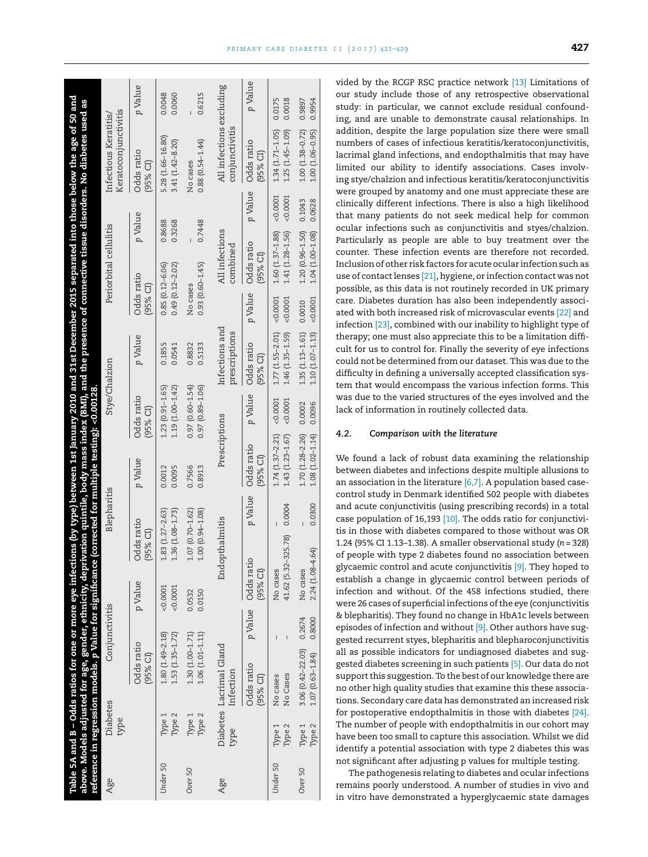<span id="page-6-0"></span>

| I | ı |  |
|---|---|--|
|   |   |  |
| I |   |  |

|          |                    | above. Models adjusted for age, gender, etmicity, deprivation quintile, body mass mdex (bMI), and the presence of connective ussue disorders. No diabetes used as<br>reference in regression models. p Value for significance ( |                  |                                        |                                            | corrected for multiple testing): $<$ 0.00128.     |                                            |                                                     |                                            |                                                 |                  |                                               |                  |
|----------|--------------------|---------------------------------------------------------------------------------------------------------------------------------------------------------------------------------------------------------------------------------|------------------|----------------------------------------|--------------------------------------------|---------------------------------------------------|--------------------------------------------|-----------------------------------------------------|--------------------------------------------|-------------------------------------------------|------------------|-----------------------------------------------|------------------|
| Age      | Diabetes<br>type   |                                                                                                                                                                                                                                 | Conjunctivitis   |                                        | Blepharitis                                |                                                   | Stye/Chalzion                              |                                                     |                                            | Periorbital cellulitis                          |                  | Keratoconjunctivitis<br>Infectious Keratitis/ |                  |
|          |                    | Odds ratio<br>$(95%$ CI)                                                                                                                                                                                                        |                  | p Value                                | Odds ratio<br>(95% CI)                     | p Value                                           | Odds ratio<br>(95% CI)                     | p Value                                             | Odds ratio<br>(95% CI)                     |                                                 | p Value          | Odds ratio<br>(95% CI)                        | p Value          |
| Under 50 | Type 2<br>Type $1$ | $1.53(1.35 - 1.72)$<br>$1.80(1.49 - 2.18)$                                                                                                                                                                                      |                  | 0.0001<br>0.0001                       | 1.83 (1.27-2.63)<br>$1.36(1.08 - 1.73)$    | 0.0012<br>0.0095                                  | $1.19(1.00 - 1.42)$<br>$1.23(0.91 - 1.65)$ | 0.1855<br>0.0541                                    | $0.49(0.12 - 2.02)$<br>$0.85(0.12 - 6.06)$ | 0.8688<br>0.3268                                |                  | 5.28 (1.66-16.80)<br>$3.41(1.42 - 8.20)$      | 0.0048<br>0.0060 |
| Over 50  | Type 2<br>Type 1   | 1.30 (1.00-1.71)<br>$1.06(1.01 - 1.11)$                                                                                                                                                                                         |                  | 0.0150<br>0.0532                       | $1.07(0.70 - 1.62)$<br>$1.00(0.94 - 1.08)$ | 0.7566<br>0.8913                                  | $0.97(0.60 - 1.54)$<br>$0.97(0.89 - 1.06)$ | 0.8832<br>0.5133                                    | $0.93(0.60 - 1.45)$<br>No cases            | 0.7448                                          |                  | $0.88(0.54 - 1.44)$<br>No cases               | 0.6215           |
| Age      | type               | Diabetes Lacrimal Gland<br>Infection                                                                                                                                                                                            |                  |                                        | Endopthalmitis                             | Prescriptions                                     |                                            | Infections and<br>prescriptions                     |                                            | All infections<br>combined                      |                  | All infections excluding<br>conjunctivitis    |                  |
|          |                    | Odds ratio<br>(95% CI)                                                                                                                                                                                                          | p Value          | Odds ratio<br>(95% CI)                 | p Value                                    | Odds ratio<br>(95% CI)                            | p Value                                    | Odds ratio<br>(95% CI)                              | p Value                                    | Odds ratio<br>(95% CI)                          | p Value          | Odds ratio<br>(95% CI)                        | p Value          |
| Under 50 | Type 2<br>Type 1   | No Cases<br>No cases                                                                                                                                                                                                            |                  | 41.62 (5.32-325.78) 0.0004<br>No cases |                                            | $1.74(1.37-2.21) < 0.0001$<br>$1.43(1.23 - 1.67)$ | &0.0001                                    | $1.77(1.55 - 2.01) < 0.0001$<br>$1.46(1.35 - 1.59)$ | &0.0001                                    | $1.60$ (1.37-1.88) < 0.0001<br>1.41 (1.28-1.56) | &0.0001          | $1.34(1.71 - 1.05)$<br>$1.25(1.45-1.09)$      | 0.0175<br>0.0018 |
| Over 50  | Type 1<br>Type 2   | 3.06 (0.42-22.03)<br>1.07 (0.63-1.84)                                                                                                                                                                                           | 0.2674<br>0.8000 | 2.24 (1.08-4.64)<br>No cases           | 0.0300                                     | $1.70(1.28 - 2.26)$<br>$1.08(1.02 - 1.14)$        | 0.0002<br>0.0096                           | $1.10(1.07 - 1.13)$<br>$1.35(1.13 - 1.61)$          | < 0.0001<br>0.0010                         | 1.04 (1.00-1.08)<br>$1.20(0.96 - 1.50)$         | 0.1043<br>0.0628 | $1.00(1.38 - 0.72)$<br>$1.00(1.06 - 0.95)$    | 0.9897<br>0.9954 |

vided by the RCGP RSC practice network [\[13\]](#page-7-0) Limitations of our study include those of any retrospective observational study: in particular, we cannot exclude residual confounding, and are unable to demonstrate causal relationships. In addition, despite the large population size there were small numbers of cases of infectious keratitis/keratoconjunctivitis, lacrimal gland infections, and endopthalmitis that may have limited our ability to identify associations. Cases involving stye/chalzion and infectious keratitis/keratoconjunctivitis were grouped by anatomy and one must appreciate these are clinically different infections. There is also a high likelihood that many patients do not seek medical help for common ocular infections such as conjunctivitis and styes/chalzion. Particularly as people are able to buy treatment over the counter. These infection events are therefore not recorded. Inclusion of other risk factors for acute ocular infection such as use of contactlenses [\[21\]](#page-8-0) , hygiene, or infection contact was not possible, as this data is not routinely recorded in UK primary care. Diabetes duration has also been independently associated with both increased risk of microvascular events [\[22\]](#page-8-0) and infection [\[23\]](#page-8-0) , combined with our inability to highlight type of therapy; one must also appreciate this to be a limitation difficult for us to control for. Finally the severity of eye infections could not be determined from our dataset. This was due to the difficulty in defining a universally accepted classification system that would encompass the various infection forms. This was due to the varied structures of the eyes involved and the lack of information in routinely collected data.

#### *4.2. Comparison with the literature*

We found a lack of robust data examining the relationship between diabetes and infections despite multiple allusions to an association in the literature  $[6,7]$ . A population based casecontrol study in Denmark identified 502 people with diabetes and acute conjunctivitis (using prescribing records) in a total case population of 16,193 [\[10\]](#page-7-0) . The odds ratio for conjunctivitis in those with diabetes compared to those without was OR 1.24 (95% CI 1.13–1.38). A smaller observational study ( *n* = 328) of people with type 2 diabetes found no association between glycaemic control and acute conjunctivitis [\[9\]](#page-7-0) . They hoped to establish a change in glycaemic control between periods of infection and without. Of the 458 infections studied, there were 26 cases of superficial infections of the eye (conjunctivitis & blepharitis). They found no change in HbA1c levels between episodes of infection and without [\[9\]](#page-7-0) . Other authors have suggested recurrent styes, blepharitis and blepharoconjunctivitis all as possible indicators for undiagnosed diabetes and suggested diabetes screening in such patients [\[5\].](#page-7-0) Our data do not support this suggestion. To the best of our knowledge there are no other high quality studies that examine this these associations. Secondary care data has demonstrated an increased risk for postoperative endopthalmitis in those with diabetes [\[24\]](#page-8-0) . The number of people with endopthalmitis in our cohort may have been too small to capture this association. Whilst we did identify a potential association with type 2 diabetes this was not significant after adjusting p values for multiple testing.

The pathogenesis relating to diabetes and ocular infections remains poorly understood. A number of studies in vivo and in vitro have demonstrated a hyperglycaemic state damages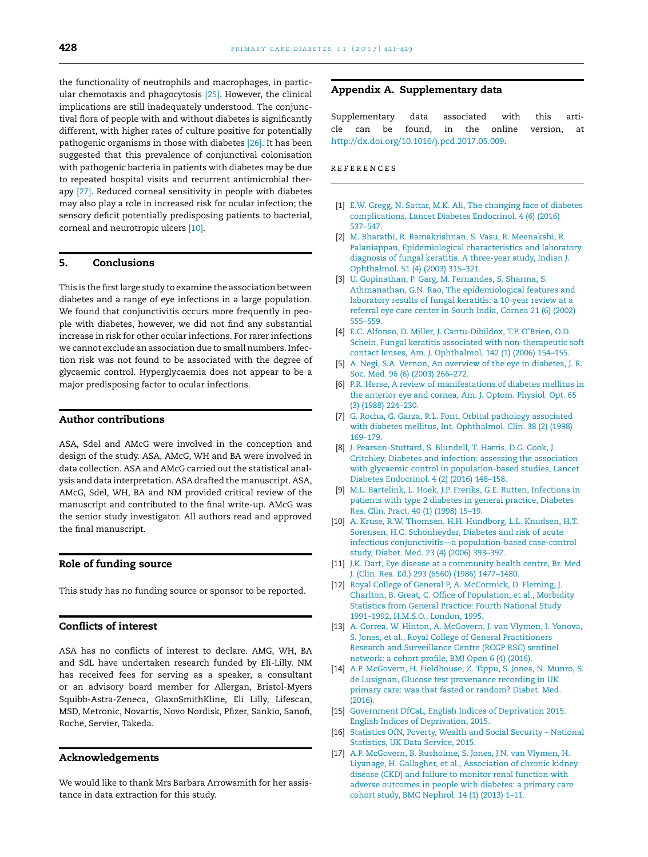<span id="page-7-0"></span>the functionality of neutrophils and macrophages, in particular chemotaxis and phagocytosis [\[25\].](#page-8-0) However, the clinical implications are still inadequately understood. The conjunctival flora of people with and without diabetes is significantly different, with higher rates of culture positive for potentially pathogenic organisms in those with diabetes [\[26\].](#page-8-0) It has been suggested that this prevalence of conjunctival colonisation with pathogenic bacteria in patients with diabetes may be due to repeated hospital visits and recurrent antimicrobial therapy [\[27\].](#page-8-0) Reduced corneal sensitivity in people with diabetes may also play a role in increased risk for ocular infection; the sensory deficit potentially predisposing patients to bacterial, corneal and neurotropic ulcers [10].

## **5. Conclusions**

This is the firstlarge study to examine the association between diabetes and a range of eye infections in a large population. We found that conjunctivitis occurs more frequently in people with diabetes, however, we did not find any substantial increase in risk for other ocular infections. For rarer infections we cannot exclude an association due to small numbers. Infection risk was not found to be associated with the degree of glycaemic control. Hyperglycaemia does not appear to be a major predisposing factor to ocular infections.

# **Author contributions**

ASA, Sdel and AMcG were involved in the conception and design of the study. ASA, AMcG, WH and BA were involved in data collection. ASA and AMcG carried out the statistical analysis and data interpretation. ASA drafted the manuscript. ASA, AMcG, Sdel, WH, BA and NM provided critical review of the manuscript and contributed to the final write-up. AMcG was the senior study investigator. All authors read and approved the final manuscript.

#### **Role of funding source**

This study has no funding source or sponsor to be reported.

# **Conflicts of interest**

ASA has no conflicts of interest to declare. AMG, WH, BA and SdL have undertaken research funded by Eli-Lilly. NM has received fees for serving as a speaker, a consultant or an advisory board member for Allergan, Bristol-Myers Squibb-Astra-Zeneca, GlaxoSmithKline, Eli Lilly, Lifescan, MSD, Metronic, Novartis, Novo Nordisk, Pfizer, Sankio, Sanofi, Roche, Servier, Takeda.

## **Acknowledgements**

We would like to thank Mrs Barbara Arrowsmith for her assistance in data extraction for this study.

#### **Appendix A. Supplementary data**

Supplementary data associated with this article can be found, in the online version, at [http://dx.doi.org/10.1016/j.pcd.2017.05.009.](http://dx.doi.org/10.1016/j.pcd.2017.05.009)

#### r e f e r enc e s

- [1] [E.W.](http://refhub.elsevier.com/S1751-9918(17)30085-2/sbref0005) [Gregg,](http://refhub.elsevier.com/S1751-9918(17)30085-2/sbref0005) [N.](http://refhub.elsevier.com/S1751-9918(17)30085-2/sbref0005) [Sattar,](http://refhub.elsevier.com/S1751-9918(17)30085-2/sbref0005) [M.K.](http://refhub.elsevier.com/S1751-9918(17)30085-2/sbref0005) [Ali,](http://refhub.elsevier.com/S1751-9918(17)30085-2/sbref0005) [The](http://refhub.elsevier.com/S1751-9918(17)30085-2/sbref0005) [changing](http://refhub.elsevier.com/S1751-9918(17)30085-2/sbref0005) [face](http://refhub.elsevier.com/S1751-9918(17)30085-2/sbref0005) [of](http://refhub.elsevier.com/S1751-9918(17)30085-2/sbref0005) [diabetes](http://refhub.elsevier.com/S1751-9918(17)30085-2/sbref0005) [complications,](http://refhub.elsevier.com/S1751-9918(17)30085-2/sbref0005) [Lancet](http://refhub.elsevier.com/S1751-9918(17)30085-2/sbref0005) [Diabetes](http://refhub.elsevier.com/S1751-9918(17)30085-2/sbref0005) [Endocrinol.](http://refhub.elsevier.com/S1751-9918(17)30085-2/sbref0005) [4](http://refhub.elsevier.com/S1751-9918(17)30085-2/sbref0005) [\(6\)](http://refhub.elsevier.com/S1751-9918(17)30085-2/sbref0005) [\(2016\)](http://refhub.elsevier.com/S1751-9918(17)30085-2/sbref0005) [537–547.](http://refhub.elsevier.com/S1751-9918(17)30085-2/sbref0005)
- [2] [M.](http://refhub.elsevier.com/S1751-9918(17)30085-2/sbref0010) [Bharathi,](http://refhub.elsevier.com/S1751-9918(17)30085-2/sbref0010) [R.](http://refhub.elsevier.com/S1751-9918(17)30085-2/sbref0010) [Ramakrishnan,](http://refhub.elsevier.com/S1751-9918(17)30085-2/sbref0010) [S.](http://refhub.elsevier.com/S1751-9918(17)30085-2/sbref0010) [Vasu,](http://refhub.elsevier.com/S1751-9918(17)30085-2/sbref0010) [R.](http://refhub.elsevier.com/S1751-9918(17)30085-2/sbref0010) [Meenakshi,](http://refhub.elsevier.com/S1751-9918(17)30085-2/sbref0010) [R.](http://refhub.elsevier.com/S1751-9918(17)30085-2/sbref0010) [Palaniappan,](http://refhub.elsevier.com/S1751-9918(17)30085-2/sbref0010) [Epidemiological](http://refhub.elsevier.com/S1751-9918(17)30085-2/sbref0010) [characteristics](http://refhub.elsevier.com/S1751-9918(17)30085-2/sbref0010) [and](http://refhub.elsevier.com/S1751-9918(17)30085-2/sbref0010) [laboratory](http://refhub.elsevier.com/S1751-9918(17)30085-2/sbref0010) [diagnosis](http://refhub.elsevier.com/S1751-9918(17)30085-2/sbref0010) [of](http://refhub.elsevier.com/S1751-9918(17)30085-2/sbref0010) [fungal](http://refhub.elsevier.com/S1751-9918(17)30085-2/sbref0010) [keratitis.](http://refhub.elsevier.com/S1751-9918(17)30085-2/sbref0010) [A](http://refhub.elsevier.com/S1751-9918(17)30085-2/sbref0010) [three-year](http://refhub.elsevier.com/S1751-9918(17)30085-2/sbref0010) [study,](http://refhub.elsevier.com/S1751-9918(17)30085-2/sbref0010) [Indian](http://refhub.elsevier.com/S1751-9918(17)30085-2/sbref0010) [J.](http://refhub.elsevier.com/S1751-9918(17)30085-2/sbref0010) [Ophthalmol.](http://refhub.elsevier.com/S1751-9918(17)30085-2/sbref0010) [51](http://refhub.elsevier.com/S1751-9918(17)30085-2/sbref0010) [\(4\)](http://refhub.elsevier.com/S1751-9918(17)30085-2/sbref0010) [\(2003\)](http://refhub.elsevier.com/S1751-9918(17)30085-2/sbref0010) [315–321.](http://refhub.elsevier.com/S1751-9918(17)30085-2/sbref0010)
- [3] [U.](http://refhub.elsevier.com/S1751-9918(17)30085-2/sbref0015) [Gopinathan,](http://refhub.elsevier.com/S1751-9918(17)30085-2/sbref0015) [P.](http://refhub.elsevier.com/S1751-9918(17)30085-2/sbref0015) [Garg,](http://refhub.elsevier.com/S1751-9918(17)30085-2/sbref0015) [M.](http://refhub.elsevier.com/S1751-9918(17)30085-2/sbref0015) [Fernandes,](http://refhub.elsevier.com/S1751-9918(17)30085-2/sbref0015) [S.](http://refhub.elsevier.com/S1751-9918(17)30085-2/sbref0015) [Sharma,](http://refhub.elsevier.com/S1751-9918(17)30085-2/sbref0015) [S.](http://refhub.elsevier.com/S1751-9918(17)30085-2/sbref0015) [Athmanathan,](http://refhub.elsevier.com/S1751-9918(17)30085-2/sbref0015) [G.N.](http://refhub.elsevier.com/S1751-9918(17)30085-2/sbref0015) [Rao,](http://refhub.elsevier.com/S1751-9918(17)30085-2/sbref0015) [The](http://refhub.elsevier.com/S1751-9918(17)30085-2/sbref0015) [epidemiological](http://refhub.elsevier.com/S1751-9918(17)30085-2/sbref0015) [features](http://refhub.elsevier.com/S1751-9918(17)30085-2/sbref0015) [and](http://refhub.elsevier.com/S1751-9918(17)30085-2/sbref0015) [laboratory](http://refhub.elsevier.com/S1751-9918(17)30085-2/sbref0015) [results](http://refhub.elsevier.com/S1751-9918(17)30085-2/sbref0015) [of](http://refhub.elsevier.com/S1751-9918(17)30085-2/sbref0015) [fungal](http://refhub.elsevier.com/S1751-9918(17)30085-2/sbref0015) [keratitis:](http://refhub.elsevier.com/S1751-9918(17)30085-2/sbref0015) [a](http://refhub.elsevier.com/S1751-9918(17)30085-2/sbref0015) [10-year](http://refhub.elsevier.com/S1751-9918(17)30085-2/sbref0015) [review](http://refhub.elsevier.com/S1751-9918(17)30085-2/sbref0015) [at](http://refhub.elsevier.com/S1751-9918(17)30085-2/sbref0015) [a](http://refhub.elsevier.com/S1751-9918(17)30085-2/sbref0015) [referral](http://refhub.elsevier.com/S1751-9918(17)30085-2/sbref0015) [eye](http://refhub.elsevier.com/S1751-9918(17)30085-2/sbref0015) [care](http://refhub.elsevier.com/S1751-9918(17)30085-2/sbref0015) [center](http://refhub.elsevier.com/S1751-9918(17)30085-2/sbref0015) [in](http://refhub.elsevier.com/S1751-9918(17)30085-2/sbref0015) [South](http://refhub.elsevier.com/S1751-9918(17)30085-2/sbref0015) [India,](http://refhub.elsevier.com/S1751-9918(17)30085-2/sbref0015) [Cornea](http://refhub.elsevier.com/S1751-9918(17)30085-2/sbref0015) [21](http://refhub.elsevier.com/S1751-9918(17)30085-2/sbref0015) [\(6\)](http://refhub.elsevier.com/S1751-9918(17)30085-2/sbref0015) [\(2002\)](http://refhub.elsevier.com/S1751-9918(17)30085-2/sbref0015) [555–559.](http://refhub.elsevier.com/S1751-9918(17)30085-2/sbref0015)
- [4] [E.C.](http://refhub.elsevier.com/S1751-9918(17)30085-2/sbref0020) [Alfonso,](http://refhub.elsevier.com/S1751-9918(17)30085-2/sbref0020) [D.](http://refhub.elsevier.com/S1751-9918(17)30085-2/sbref0020) [Miller,](http://refhub.elsevier.com/S1751-9918(17)30085-2/sbref0020) [J.](http://refhub.elsevier.com/S1751-9918(17)30085-2/sbref0020) [Cantu-Dibildox,](http://refhub.elsevier.com/S1751-9918(17)30085-2/sbref0020) [T.P.](http://refhub.elsevier.com/S1751-9918(17)30085-2/sbref0020) [O'Brien,](http://refhub.elsevier.com/S1751-9918(17)30085-2/sbref0020) [O.D.](http://refhub.elsevier.com/S1751-9918(17)30085-2/sbref0020) [Schein,](http://refhub.elsevier.com/S1751-9918(17)30085-2/sbref0020) [Fungal](http://refhub.elsevier.com/S1751-9918(17)30085-2/sbref0020) [keratitis](http://refhub.elsevier.com/S1751-9918(17)30085-2/sbref0020) [associated](http://refhub.elsevier.com/S1751-9918(17)30085-2/sbref0020) [with](http://refhub.elsevier.com/S1751-9918(17)30085-2/sbref0020) [non-therapeutic](http://refhub.elsevier.com/S1751-9918(17)30085-2/sbref0020) [soft](http://refhub.elsevier.com/S1751-9918(17)30085-2/sbref0020) [contact](http://refhub.elsevier.com/S1751-9918(17)30085-2/sbref0020) [lenses,](http://refhub.elsevier.com/S1751-9918(17)30085-2/sbref0020) [Am.](http://refhub.elsevier.com/S1751-9918(17)30085-2/sbref0020) [J](http://refhub.elsevier.com/S1751-9918(17)30085-2/sbref0020). [Ophthalmol.](http://refhub.elsevier.com/S1751-9918(17)30085-2/sbref0020) [142](http://refhub.elsevier.com/S1751-9918(17)30085-2/sbref0020) [\(1\)](http://refhub.elsevier.com/S1751-9918(17)30085-2/sbref0020) [\(2006\)](http://refhub.elsevier.com/S1751-9918(17)30085-2/sbref0020) [154–155.](http://refhub.elsevier.com/S1751-9918(17)30085-2/sbref0020)
- [5] [A.](http://refhub.elsevier.com/S1751-9918(17)30085-2/sbref0025) [Negi,](http://refhub.elsevier.com/S1751-9918(17)30085-2/sbref0025) [S.A.](http://refhub.elsevier.com/S1751-9918(17)30085-2/sbref0025) [Vernon,](http://refhub.elsevier.com/S1751-9918(17)30085-2/sbref0025) [An](http://refhub.elsevier.com/S1751-9918(17)30085-2/sbref0025) [overview](http://refhub.elsevier.com/S1751-9918(17)30085-2/sbref0025) [of](http://refhub.elsevier.com/S1751-9918(17)30085-2/sbref0025) [the](http://refhub.elsevier.com/S1751-9918(17)30085-2/sbref0025) [eye](http://refhub.elsevier.com/S1751-9918(17)30085-2/sbref0025) [in](http://refhub.elsevier.com/S1751-9918(17)30085-2/sbref0025) [diabetes,](http://refhub.elsevier.com/S1751-9918(17)30085-2/sbref0025) [J.](http://refhub.elsevier.com/S1751-9918(17)30085-2/sbref0025) [R.](http://refhub.elsevier.com/S1751-9918(17)30085-2/sbref0025) [Soc.](http://refhub.elsevier.com/S1751-9918(17)30085-2/sbref0025) [Med.](http://refhub.elsevier.com/S1751-9918(17)30085-2/sbref0025) [96](http://refhub.elsevier.com/S1751-9918(17)30085-2/sbref0025) [\(6\)](http://refhub.elsevier.com/S1751-9918(17)30085-2/sbref0025) [\(2003\)](http://refhub.elsevier.com/S1751-9918(17)30085-2/sbref0025) [266–272.](http://refhub.elsevier.com/S1751-9918(17)30085-2/sbref0025)
- [6] [P.R.](http://refhub.elsevier.com/S1751-9918(17)30085-2/sbref0030) [Herse,](http://refhub.elsevier.com/S1751-9918(17)30085-2/sbref0030) [A](http://refhub.elsevier.com/S1751-9918(17)30085-2/sbref0030) [review](http://refhub.elsevier.com/S1751-9918(17)30085-2/sbref0030) [of](http://refhub.elsevier.com/S1751-9918(17)30085-2/sbref0030) [manifestations](http://refhub.elsevier.com/S1751-9918(17)30085-2/sbref0030) [of](http://refhub.elsevier.com/S1751-9918(17)30085-2/sbref0030) [diabetes](http://refhub.elsevier.com/S1751-9918(17)30085-2/sbref0030) [mellitus](http://refhub.elsevier.com/S1751-9918(17)30085-2/sbref0030) [in](http://refhub.elsevier.com/S1751-9918(17)30085-2/sbref0030) [the](http://refhub.elsevier.com/S1751-9918(17)30085-2/sbref0030) [anterior](http://refhub.elsevier.com/S1751-9918(17)30085-2/sbref0030) [eye](http://refhub.elsevier.com/S1751-9918(17)30085-2/sbref0030) [and](http://refhub.elsevier.com/S1751-9918(17)30085-2/sbref0030) [cornea,](http://refhub.elsevier.com/S1751-9918(17)30085-2/sbref0030) [Am.](http://refhub.elsevier.com/S1751-9918(17)30085-2/sbref0030) [J.](http://refhub.elsevier.com/S1751-9918(17)30085-2/sbref0030) [Optom.](http://refhub.elsevier.com/S1751-9918(17)30085-2/sbref0030) [Physiol.](http://refhub.elsevier.com/S1751-9918(17)30085-2/sbref0030) [Opt.](http://refhub.elsevier.com/S1751-9918(17)30085-2/sbref0030) [65](http://refhub.elsevier.com/S1751-9918(17)30085-2/sbref0030) [\(3\)](http://refhub.elsevier.com/S1751-9918(17)30085-2/sbref0030) [\(1988\)](http://refhub.elsevier.com/S1751-9918(17)30085-2/sbref0030) [224](http://refhub.elsevier.com/S1751-9918(17)30085-2/sbref0030)–[230.](http://refhub.elsevier.com/S1751-9918(17)30085-2/sbref0030)
- [7] [G.](http://refhub.elsevier.com/S1751-9918(17)30085-2/sbref0035) [Rocha,](http://refhub.elsevier.com/S1751-9918(17)30085-2/sbref0035) [G.](http://refhub.elsevier.com/S1751-9918(17)30085-2/sbref0035) [Garza,](http://refhub.elsevier.com/S1751-9918(17)30085-2/sbref0035) [R.L.](http://refhub.elsevier.com/S1751-9918(17)30085-2/sbref0035) [Font,](http://refhub.elsevier.com/S1751-9918(17)30085-2/sbref0035) [Orbital](http://refhub.elsevier.com/S1751-9918(17)30085-2/sbref0035) [pathology](http://refhub.elsevier.com/S1751-9918(17)30085-2/sbref0035) [associated](http://refhub.elsevier.com/S1751-9918(17)30085-2/sbref0035) [with](http://refhub.elsevier.com/S1751-9918(17)30085-2/sbref0035) [diabetes](http://refhub.elsevier.com/S1751-9918(17)30085-2/sbref0035) [mellitus,](http://refhub.elsevier.com/S1751-9918(17)30085-2/sbref0035) [Int.](http://refhub.elsevier.com/S1751-9918(17)30085-2/sbref0035) [Ophthalmol.](http://refhub.elsevier.com/S1751-9918(17)30085-2/sbref0035) [Clin.](http://refhub.elsevier.com/S1751-9918(17)30085-2/sbref0035) [38](http://refhub.elsevier.com/S1751-9918(17)30085-2/sbref0035) [\(2\)](http://refhub.elsevier.com/S1751-9918(17)30085-2/sbref0035) [\(1998\)](http://refhub.elsevier.com/S1751-9918(17)30085-2/sbref0035) [169](http://refhub.elsevier.com/S1751-9918(17)30085-2/sbref0035)–[179.](http://refhub.elsevier.com/S1751-9918(17)30085-2/sbref0035)
- [8] [J.](http://refhub.elsevier.com/S1751-9918(17)30085-2/sbref0040) [Pearson-Stuttard,](http://refhub.elsevier.com/S1751-9918(17)30085-2/sbref0040) [S.](http://refhub.elsevier.com/S1751-9918(17)30085-2/sbref0040) [Blundell,](http://refhub.elsevier.com/S1751-9918(17)30085-2/sbref0040) [T.](http://refhub.elsevier.com/S1751-9918(17)30085-2/sbref0040) [Harris,](http://refhub.elsevier.com/S1751-9918(17)30085-2/sbref0040) [D.G.](http://refhub.elsevier.com/S1751-9918(17)30085-2/sbref0040) [Cook,](http://refhub.elsevier.com/S1751-9918(17)30085-2/sbref0040) [J.](http://refhub.elsevier.com/S1751-9918(17)30085-2/sbref0040) [Critchley,](http://refhub.elsevier.com/S1751-9918(17)30085-2/sbref0040) [Diabetes](http://refhub.elsevier.com/S1751-9918(17)30085-2/sbref0040) [and](http://refhub.elsevier.com/S1751-9918(17)30085-2/sbref0040) [infection:](http://refhub.elsevier.com/S1751-9918(17)30085-2/sbref0040) [assessing](http://refhub.elsevier.com/S1751-9918(17)30085-2/sbref0040) [the](http://refhub.elsevier.com/S1751-9918(17)30085-2/sbref0040) [association](http://refhub.elsevier.com/S1751-9918(17)30085-2/sbref0040) [with](http://refhub.elsevier.com/S1751-9918(17)30085-2/sbref0040) [glycaemic](http://refhub.elsevier.com/S1751-9918(17)30085-2/sbref0040) [control](http://refhub.elsevier.com/S1751-9918(17)30085-2/sbref0040) [in](http://refhub.elsevier.com/S1751-9918(17)30085-2/sbref0040) [population-based](http://refhub.elsevier.com/S1751-9918(17)30085-2/sbref0040) [studies,](http://refhub.elsevier.com/S1751-9918(17)30085-2/sbref0040) [Lancet](http://refhub.elsevier.com/S1751-9918(17)30085-2/sbref0040) [Diabetes](http://refhub.elsevier.com/S1751-9918(17)30085-2/sbref0040) [Endocrinol.](http://refhub.elsevier.com/S1751-9918(17)30085-2/sbref0040) [4](http://refhub.elsevier.com/S1751-9918(17)30085-2/sbref0040) [\(2\)](http://refhub.elsevier.com/S1751-9918(17)30085-2/sbref0040) [\(2016\)](http://refhub.elsevier.com/S1751-9918(17)30085-2/sbref0040) [148](http://refhub.elsevier.com/S1751-9918(17)30085-2/sbref0040)–[158.](http://refhub.elsevier.com/S1751-9918(17)30085-2/sbref0040)
- [9] [M.L.](http://refhub.elsevier.com/S1751-9918(17)30085-2/sbref0045) [Bartelink,](http://refhub.elsevier.com/S1751-9918(17)30085-2/sbref0045) [L.](http://refhub.elsevier.com/S1751-9918(17)30085-2/sbref0045) [Hoek,](http://refhub.elsevier.com/S1751-9918(17)30085-2/sbref0045) [J.P.](http://refhub.elsevier.com/S1751-9918(17)30085-2/sbref0045) [Freriks,](http://refhub.elsevier.com/S1751-9918(17)30085-2/sbref0045) [G.E.](http://refhub.elsevier.com/S1751-9918(17)30085-2/sbref0045) [Rutten,](http://refhub.elsevier.com/S1751-9918(17)30085-2/sbref0045) [Infections](http://refhub.elsevier.com/S1751-9918(17)30085-2/sbref0045) [in](http://refhub.elsevier.com/S1751-9918(17)30085-2/sbref0045) [patients](http://refhub.elsevier.com/S1751-9918(17)30085-2/sbref0045) [with](http://refhub.elsevier.com/S1751-9918(17)30085-2/sbref0045) [type](http://refhub.elsevier.com/S1751-9918(17)30085-2/sbref0045) [2](http://refhub.elsevier.com/S1751-9918(17)30085-2/sbref0045) [diabetes](http://refhub.elsevier.com/S1751-9918(17)30085-2/sbref0045) [in](http://refhub.elsevier.com/S1751-9918(17)30085-2/sbref0045) [general](http://refhub.elsevier.com/S1751-9918(17)30085-2/sbref0045) [practice,](http://refhub.elsevier.com/S1751-9918(17)30085-2/sbref0045) [Diabetes](http://refhub.elsevier.com/S1751-9918(17)30085-2/sbref0045) [Res.](http://refhub.elsevier.com/S1751-9918(17)30085-2/sbref0045) [Clin.](http://refhub.elsevier.com/S1751-9918(17)30085-2/sbref0045) [Pract.](http://refhub.elsevier.com/S1751-9918(17)30085-2/sbref0045) [40](http://refhub.elsevier.com/S1751-9918(17)30085-2/sbref0045) [\(1\)](http://refhub.elsevier.com/S1751-9918(17)30085-2/sbref0045) [\(1998\)](http://refhub.elsevier.com/S1751-9918(17)30085-2/sbref0045) [15–19.](http://refhub.elsevier.com/S1751-9918(17)30085-2/sbref0045)
- [10] [A.](http://refhub.elsevier.com/S1751-9918(17)30085-2/sbref0050) [Kruse,](http://refhub.elsevier.com/S1751-9918(17)30085-2/sbref0050) [R.W.](http://refhub.elsevier.com/S1751-9918(17)30085-2/sbref0050) [Thomsen,](http://refhub.elsevier.com/S1751-9918(17)30085-2/sbref0050) [H.H.](http://refhub.elsevier.com/S1751-9918(17)30085-2/sbref0050) [Hundborg,](http://refhub.elsevier.com/S1751-9918(17)30085-2/sbref0050) [L.L.](http://refhub.elsevier.com/S1751-9918(17)30085-2/sbref0050) [Knudsen,](http://refhub.elsevier.com/S1751-9918(17)30085-2/sbref0050) [H.T.](http://refhub.elsevier.com/S1751-9918(17)30085-2/sbref0050) [Sorensen,](http://refhub.elsevier.com/S1751-9918(17)30085-2/sbref0050) [H.C.](http://refhub.elsevier.com/S1751-9918(17)30085-2/sbref0050) [Schonheyder,](http://refhub.elsevier.com/S1751-9918(17)30085-2/sbref0050) [Diabetes](http://refhub.elsevier.com/S1751-9918(17)30085-2/sbref0050) [and](http://refhub.elsevier.com/S1751-9918(17)30085-2/sbref0050) [risk](http://refhub.elsevier.com/S1751-9918(17)30085-2/sbref0050) [of](http://refhub.elsevier.com/S1751-9918(17)30085-2/sbref0050) [acute](http://refhub.elsevier.com/S1751-9918(17)30085-2/sbref0050) [infectious](http://refhub.elsevier.com/S1751-9918(17)30085-2/sbref0050) [conjunctivitis—a](http://refhub.elsevier.com/S1751-9918(17)30085-2/sbref0050) [population-based](http://refhub.elsevier.com/S1751-9918(17)30085-2/sbref0050) [case-control](http://refhub.elsevier.com/S1751-9918(17)30085-2/sbref0050) [study,](http://refhub.elsevier.com/S1751-9918(17)30085-2/sbref0050) [Diabet.](http://refhub.elsevier.com/S1751-9918(17)30085-2/sbref0050) [Med.](http://refhub.elsevier.com/S1751-9918(17)30085-2/sbref0050) [23](http://refhub.elsevier.com/S1751-9918(17)30085-2/sbref0050) [\(4\)](http://refhub.elsevier.com/S1751-9918(17)30085-2/sbref0050) [\(2006\)](http://refhub.elsevier.com/S1751-9918(17)30085-2/sbref0050) [393–397.](http://refhub.elsevier.com/S1751-9918(17)30085-2/sbref0050)
- [11] [J.K.](http://refhub.elsevier.com/S1751-9918(17)30085-2/sbref0055) [Dart,](http://refhub.elsevier.com/S1751-9918(17)30085-2/sbref0055) [Eye](http://refhub.elsevier.com/S1751-9918(17)30085-2/sbref0055) [disease](http://refhub.elsevier.com/S1751-9918(17)30085-2/sbref0055) [at](http://refhub.elsevier.com/S1751-9918(17)30085-2/sbref0055) [a](http://refhub.elsevier.com/S1751-9918(17)30085-2/sbref0055) [community](http://refhub.elsevier.com/S1751-9918(17)30085-2/sbref0055) [health](http://refhub.elsevier.com/S1751-9918(17)30085-2/sbref0055) [centre,](http://refhub.elsevier.com/S1751-9918(17)30085-2/sbref0055) [Br.](http://refhub.elsevier.com/S1751-9918(17)30085-2/sbref0055) [Med.](http://refhub.elsevier.com/S1751-9918(17)30085-2/sbref0055) [J.](http://refhub.elsevier.com/S1751-9918(17)30085-2/sbref0055) [\(Clin.](http://refhub.elsevier.com/S1751-9918(17)30085-2/sbref0055) [Res.](http://refhub.elsevier.com/S1751-9918(17)30085-2/sbref0055) [Ed.\)](http://refhub.elsevier.com/S1751-9918(17)30085-2/sbref0055) [293](http://refhub.elsevier.com/S1751-9918(17)30085-2/sbref0055) [\(6560\)](http://refhub.elsevier.com/S1751-9918(17)30085-2/sbref0055) [\(1986\)](http://refhub.elsevier.com/S1751-9918(17)30085-2/sbref0055) [1477–1480.](http://refhub.elsevier.com/S1751-9918(17)30085-2/sbref0055)
- [12] [Royal](http://refhub.elsevier.com/S1751-9918(17)30085-2/sbref0060) [College](http://refhub.elsevier.com/S1751-9918(17)30085-2/sbref0060) [of](http://refhub.elsevier.com/S1751-9918(17)30085-2/sbref0060) [General](http://refhub.elsevier.com/S1751-9918(17)30085-2/sbref0060) [P,](http://refhub.elsevier.com/S1751-9918(17)30085-2/sbref0060) [A.](http://refhub.elsevier.com/S1751-9918(17)30085-2/sbref0060) [McCormick,](http://refhub.elsevier.com/S1751-9918(17)30085-2/sbref0060) [D.](http://refhub.elsevier.com/S1751-9918(17)30085-2/sbref0060) [Fleming,](http://refhub.elsevier.com/S1751-9918(17)30085-2/sbref0060) [J.](http://refhub.elsevier.com/S1751-9918(17)30085-2/sbref0060) [Charlton,](http://refhub.elsevier.com/S1751-9918(17)30085-2/sbref0060) [B.](http://refhub.elsevier.com/S1751-9918(17)30085-2/sbref0060) [Great,](http://refhub.elsevier.com/S1751-9918(17)30085-2/sbref0060) [C.](http://refhub.elsevier.com/S1751-9918(17)30085-2/sbref0060) [Office](http://refhub.elsevier.com/S1751-9918(17)30085-2/sbref0060) [of](http://refhub.elsevier.com/S1751-9918(17)30085-2/sbref0060) [Population,](http://refhub.elsevier.com/S1751-9918(17)30085-2/sbref0060) [et](http://refhub.elsevier.com/S1751-9918(17)30085-2/sbref0060) [al.,](http://refhub.elsevier.com/S1751-9918(17)30085-2/sbref0060) [Morbidity](http://refhub.elsevier.com/S1751-9918(17)30085-2/sbref0060) [Statistics](http://refhub.elsevier.com/S1751-9918(17)30085-2/sbref0060) [from](http://refhub.elsevier.com/S1751-9918(17)30085-2/sbref0060) [General](http://refhub.elsevier.com/S1751-9918(17)30085-2/sbref0060) [Practice:](http://refhub.elsevier.com/S1751-9918(17)30085-2/sbref0060) [Fourth](http://refhub.elsevier.com/S1751-9918(17)30085-2/sbref0060) [National](http://refhub.elsevier.com/S1751-9918(17)30085-2/sbref0060) [Study](http://refhub.elsevier.com/S1751-9918(17)30085-2/sbref0060) [1991–1992,](http://refhub.elsevier.com/S1751-9918(17)30085-2/sbref0060) [H.M.S.O.,](http://refhub.elsevier.com/S1751-9918(17)30085-2/sbref0060) [London,](http://refhub.elsevier.com/S1751-9918(17)30085-2/sbref0060) [1995.](http://refhub.elsevier.com/S1751-9918(17)30085-2/sbref0060)
- [13] [A.](http://refhub.elsevier.com/S1751-9918(17)30085-2/sbref0065) [Correa,](http://refhub.elsevier.com/S1751-9918(17)30085-2/sbref0065) [W.](http://refhub.elsevier.com/S1751-9918(17)30085-2/sbref0065) [Hinton,](http://refhub.elsevier.com/S1751-9918(17)30085-2/sbref0065) [A.](http://refhub.elsevier.com/S1751-9918(17)30085-2/sbref0065) [McGovern,](http://refhub.elsevier.com/S1751-9918(17)30085-2/sbref0065) [J](http://refhub.elsevier.com/S1751-9918(17)30085-2/sbref0065). [van](http://refhub.elsevier.com/S1751-9918(17)30085-2/sbref0065) [Vlymen,](http://refhub.elsevier.com/S1751-9918(17)30085-2/sbref0065) [I.](http://refhub.elsevier.com/S1751-9918(17)30085-2/sbref0065) [Yonova,](http://refhub.elsevier.com/S1751-9918(17)30085-2/sbref0065) [S](http://refhub.elsevier.com/S1751-9918(17)30085-2/sbref0065). [Jones,](http://refhub.elsevier.com/S1751-9918(17)30085-2/sbref0065) [et](http://refhub.elsevier.com/S1751-9918(17)30085-2/sbref0065) [al.,](http://refhub.elsevier.com/S1751-9918(17)30085-2/sbref0065) [Royal](http://refhub.elsevier.com/S1751-9918(17)30085-2/sbref0065) [College](http://refhub.elsevier.com/S1751-9918(17)30085-2/sbref0065) [of](http://refhub.elsevier.com/S1751-9918(17)30085-2/sbref0065) [General](http://refhub.elsevier.com/S1751-9918(17)30085-2/sbref0065) [Practitioners](http://refhub.elsevier.com/S1751-9918(17)30085-2/sbref0065) [Research](http://refhub.elsevier.com/S1751-9918(17)30085-2/sbref0065) [and](http://refhub.elsevier.com/S1751-9918(17)30085-2/sbref0065) [Surveillance](http://refhub.elsevier.com/S1751-9918(17)30085-2/sbref0065) [Centre](http://refhub.elsevier.com/S1751-9918(17)30085-2/sbref0065) [\(RCGP](http://refhub.elsevier.com/S1751-9918(17)30085-2/sbref0065) [RSC\)](http://refhub.elsevier.com/S1751-9918(17)30085-2/sbref0065) [sentinel](http://refhub.elsevier.com/S1751-9918(17)30085-2/sbref0065) [network:](http://refhub.elsevier.com/S1751-9918(17)30085-2/sbref0065) [a](http://refhub.elsevier.com/S1751-9918(17)30085-2/sbref0065) [cohort](http://refhub.elsevier.com/S1751-9918(17)30085-2/sbref0065) [profile,](http://refhub.elsevier.com/S1751-9918(17)30085-2/sbref0065) [BMJ](http://refhub.elsevier.com/S1751-9918(17)30085-2/sbref0065) [Open](http://refhub.elsevier.com/S1751-9918(17)30085-2/sbref0065) [6](http://refhub.elsevier.com/S1751-9918(17)30085-2/sbref0065) [\(4\)](http://refhub.elsevier.com/S1751-9918(17)30085-2/sbref0065) [\(2016\).](http://refhub.elsevier.com/S1751-9918(17)30085-2/sbref0065)
- [14] [A.P.](http://refhub.elsevier.com/S1751-9918(17)30085-2/sbref0070) [McGovern,](http://refhub.elsevier.com/S1751-9918(17)30085-2/sbref0070) [H.](http://refhub.elsevier.com/S1751-9918(17)30085-2/sbref0070) [Fieldhouse,](http://refhub.elsevier.com/S1751-9918(17)30085-2/sbref0070) [Z.](http://refhub.elsevier.com/S1751-9918(17)30085-2/sbref0070) [Tippu,](http://refhub.elsevier.com/S1751-9918(17)30085-2/sbref0070) [S.](http://refhub.elsevier.com/S1751-9918(17)30085-2/sbref0070) [Jones,](http://refhub.elsevier.com/S1751-9918(17)30085-2/sbref0070) [N.](http://refhub.elsevier.com/S1751-9918(17)30085-2/sbref0070) [Munro,](http://refhub.elsevier.com/S1751-9918(17)30085-2/sbref0070) S. [de](http://refhub.elsevier.com/S1751-9918(17)30085-2/sbref0070) [Lusignan,](http://refhub.elsevier.com/S1751-9918(17)30085-2/sbref0070) [Glucose](http://refhub.elsevier.com/S1751-9918(17)30085-2/sbref0070) [test](http://refhub.elsevier.com/S1751-9918(17)30085-2/sbref0070) [provenance](http://refhub.elsevier.com/S1751-9918(17)30085-2/sbref0070) [recording](http://refhub.elsevier.com/S1751-9918(17)30085-2/sbref0070) [in](http://refhub.elsevier.com/S1751-9918(17)30085-2/sbref0070) [UK](http://refhub.elsevier.com/S1751-9918(17)30085-2/sbref0070) [primary](http://refhub.elsevier.com/S1751-9918(17)30085-2/sbref0070) [care:](http://refhub.elsevier.com/S1751-9918(17)30085-2/sbref0070) [was](http://refhub.elsevier.com/S1751-9918(17)30085-2/sbref0070) [that](http://refhub.elsevier.com/S1751-9918(17)30085-2/sbref0070) [fasted](http://refhub.elsevier.com/S1751-9918(17)30085-2/sbref0070) [or](http://refhub.elsevier.com/S1751-9918(17)30085-2/sbref0070) [random?](http://refhub.elsevier.com/S1751-9918(17)30085-2/sbref0070) [Diabet.](http://refhub.elsevier.com/S1751-9918(17)30085-2/sbref0070) [Med.](http://refhub.elsevier.com/S1751-9918(17)30085-2/sbref0070) [\(2016\).](http://refhub.elsevier.com/S1751-9918(17)30085-2/sbref0070)
- [15] [Government](http://refhub.elsevier.com/S1751-9918(17)30085-2/sbref0075) [DfCaL,](http://refhub.elsevier.com/S1751-9918(17)30085-2/sbref0075) [English](http://refhub.elsevier.com/S1751-9918(17)30085-2/sbref0075) [Indices](http://refhub.elsevier.com/S1751-9918(17)30085-2/sbref0075) [of](http://refhub.elsevier.com/S1751-9918(17)30085-2/sbref0075) [Deprivation](http://refhub.elsevier.com/S1751-9918(17)30085-2/sbref0075) [2015.](http://refhub.elsevier.com/S1751-9918(17)30085-2/sbref0075) [English](http://refhub.elsevier.com/S1751-9918(17)30085-2/sbref0075) [Indices](http://refhub.elsevier.com/S1751-9918(17)30085-2/sbref0075) [of](http://refhub.elsevier.com/S1751-9918(17)30085-2/sbref0075) [Deprivation,](http://refhub.elsevier.com/S1751-9918(17)30085-2/sbref0075) [2015.](http://refhub.elsevier.com/S1751-9918(17)30085-2/sbref0075)
- [16] [Statistics](http://refhub.elsevier.com/S1751-9918(17)30085-2/sbref0080) [OfN,](http://refhub.elsevier.com/S1751-9918(17)30085-2/sbref0080) [Poverty,](http://refhub.elsevier.com/S1751-9918(17)30085-2/sbref0080) [Wealth](http://refhub.elsevier.com/S1751-9918(17)30085-2/sbref0080) [and](http://refhub.elsevier.com/S1751-9918(17)30085-2/sbref0080) [Social](http://refhub.elsevier.com/S1751-9918(17)30085-2/sbref0080) [Security](http://refhub.elsevier.com/S1751-9918(17)30085-2/sbref0080) [National](http://refhub.elsevier.com/S1751-9918(17)30085-2/sbref0080) [Statistics,](http://refhub.elsevier.com/S1751-9918(17)30085-2/sbref0080) [UK](http://refhub.elsevier.com/S1751-9918(17)30085-2/sbref0080) [Data](http://refhub.elsevier.com/S1751-9918(17)30085-2/sbref0080) [Service,](http://refhub.elsevier.com/S1751-9918(17)30085-2/sbref0080) [2015.](http://refhub.elsevier.com/S1751-9918(17)30085-2/sbref0080)
- [17] [A.P.](http://refhub.elsevier.com/S1751-9918(17)30085-2/sbref0085) [McGovern,](http://refhub.elsevier.com/S1751-9918(17)30085-2/sbref0085) [B.](http://refhub.elsevier.com/S1751-9918(17)30085-2/sbref0085) [Rusholme,](http://refhub.elsevier.com/S1751-9918(17)30085-2/sbref0085) [S.](http://refhub.elsevier.com/S1751-9918(17)30085-2/sbref0085) [Jones,](http://refhub.elsevier.com/S1751-9918(17)30085-2/sbref0085) [J.N.](http://refhub.elsevier.com/S1751-9918(17)30085-2/sbref0085) [van](http://refhub.elsevier.com/S1751-9918(17)30085-2/sbref0085) [Vlymen,](http://refhub.elsevier.com/S1751-9918(17)30085-2/sbref0085) [H.](http://refhub.elsevier.com/S1751-9918(17)30085-2/sbref0085) [Liyanage,](http://refhub.elsevier.com/S1751-9918(17)30085-2/sbref0085) [H.](http://refhub.elsevier.com/S1751-9918(17)30085-2/sbref0085) [Gallagher,](http://refhub.elsevier.com/S1751-9918(17)30085-2/sbref0085) [et](http://refhub.elsevier.com/S1751-9918(17)30085-2/sbref0085) [al.,](http://refhub.elsevier.com/S1751-9918(17)30085-2/sbref0085) [Association](http://refhub.elsevier.com/S1751-9918(17)30085-2/sbref0085) [of](http://refhub.elsevier.com/S1751-9918(17)30085-2/sbref0085) [chronic](http://refhub.elsevier.com/S1751-9918(17)30085-2/sbref0085) [kidney](http://refhub.elsevier.com/S1751-9918(17)30085-2/sbref0085) [disease](http://refhub.elsevier.com/S1751-9918(17)30085-2/sbref0085) [\(CKD\)](http://refhub.elsevier.com/S1751-9918(17)30085-2/sbref0085) [and](http://refhub.elsevier.com/S1751-9918(17)30085-2/sbref0085) [failure](http://refhub.elsevier.com/S1751-9918(17)30085-2/sbref0085) [to](http://refhub.elsevier.com/S1751-9918(17)30085-2/sbref0085) [monitor](http://refhub.elsevier.com/S1751-9918(17)30085-2/sbref0085) [renal](http://refhub.elsevier.com/S1751-9918(17)30085-2/sbref0085) [function](http://refhub.elsevier.com/S1751-9918(17)30085-2/sbref0085) [with](http://refhub.elsevier.com/S1751-9918(17)30085-2/sbref0085) [adverse](http://refhub.elsevier.com/S1751-9918(17)30085-2/sbref0085) [outcomes](http://refhub.elsevier.com/S1751-9918(17)30085-2/sbref0085) [in](http://refhub.elsevier.com/S1751-9918(17)30085-2/sbref0085) [people](http://refhub.elsevier.com/S1751-9918(17)30085-2/sbref0085) [with](http://refhub.elsevier.com/S1751-9918(17)30085-2/sbref0085) [diabetes:](http://refhub.elsevier.com/S1751-9918(17)30085-2/sbref0085) [a](http://refhub.elsevier.com/S1751-9918(17)30085-2/sbref0085) [primary](http://refhub.elsevier.com/S1751-9918(17)30085-2/sbref0085) [care](http://refhub.elsevier.com/S1751-9918(17)30085-2/sbref0085) [cohort](http://refhub.elsevier.com/S1751-9918(17)30085-2/sbref0085) [study,](http://refhub.elsevier.com/S1751-9918(17)30085-2/sbref0085) [BMC](http://refhub.elsevier.com/S1751-9918(17)30085-2/sbref0085) [Nephrol.](http://refhub.elsevier.com/S1751-9918(17)30085-2/sbref0085) [14](http://refhub.elsevier.com/S1751-9918(17)30085-2/sbref0085) [\(1\)](http://refhub.elsevier.com/S1751-9918(17)30085-2/sbref0085) [\(2013\)](http://refhub.elsevier.com/S1751-9918(17)30085-2/sbref0085) [1–11.](http://refhub.elsevier.com/S1751-9918(17)30085-2/sbref0085)